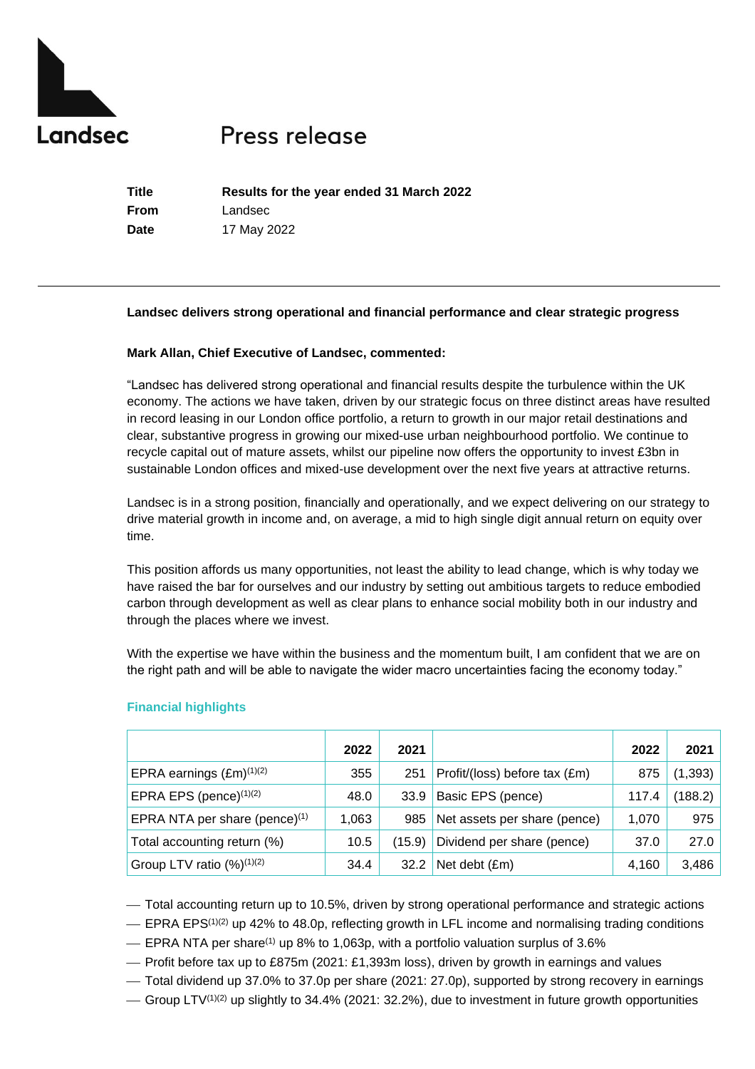

# Press release

**Title Results for the year ended 31 March 2022 From** Landsec **Date** 17 May 2022

## **Landsec delivers strong operational and financial performance and clear strategic progress**

## **Mark Allan, Chief Executive of Landsec, commented:**

"Landsec has delivered strong operational and financial results despite the turbulence within the UK economy. The actions we have taken, driven by our strategic focus on three distinct areas have resulted in record leasing in our London office portfolio, a return to growth in our major retail destinations and clear, substantive progress in growing our mixed-use urban neighbourhood portfolio. We continue to recycle capital out of mature assets, whilst our pipeline now offers the opportunity to invest £3bn in sustainable London offices and mixed-use development over the next five years at attractive returns.

Landsec is in a strong position, financially and operationally, and we expect delivering on our strategy to drive material growth in income and, on average, a mid to high single digit annual return on equity over time.

This position affords us many opportunities, not least the ability to lead change, which is why today we have raised the bar for ourselves and our industry by setting out ambitious targets to reduce embodied carbon through development as well as clear plans to enhance social mobility both in our industry and through the places where we invest.

With the expertise we have within the business and the momentum built, I am confident that we are on the right path and will be able to navigate the wider macro uncertainties facing the economy today."

|                                          | 2022  | 2021   |                               | 2022  | 2021     |
|------------------------------------------|-------|--------|-------------------------------|-------|----------|
| EPRA earnings $(Em)^{(1)(2)}$            | 355   | 251    | Profit/(loss) before tax (£m) | 875   | (1, 393) |
| EPRA EPS (pence) <sup>(1)(2)</sup>       | 48.0  | 33.9   | Basic EPS (pence)             | 117.4 | (188.2)  |
| EPRA NTA per share (pence) $(1)$         | 1,063 | 985    | Net assets per share (pence)  | 1,070 | 975      |
| Total accounting return (%)              | 10.5  | (15.9) | Dividend per share (pence)    | 37.0  | 27.0     |
| Group LTV ratio $(\frac{9}{6})^{(1)(2)}$ | 34.4  | 32.2   | Net debt (£m)                 | 4,160 | 3,486    |

# **Financial highlights**

⎯ Total accounting return up to 10.5%, driven by strong operational performance and strategic actions

 $-$  EPRA EPS<sup>(1)(2)</sup> up 42% to 48.0p, reflecting growth in LFL income and normalising trading conditions

⎯ EPRA NTA per share(1) up 8% to 1,063p, with a portfolio valuation surplus of 3.6%

— Profit before tax up to £875m (2021: £1,393m loss), driven by growth in earnings and values

 $-$  Total dividend up 37.0% to 37.0p per share (2021: 27.0p), supported by strong recovery in earnings

 $-$  Group LTV<sup>(1)(2)</sup> up slightly to 34.4% (2021: 32.2%), due to investment in future growth opportunities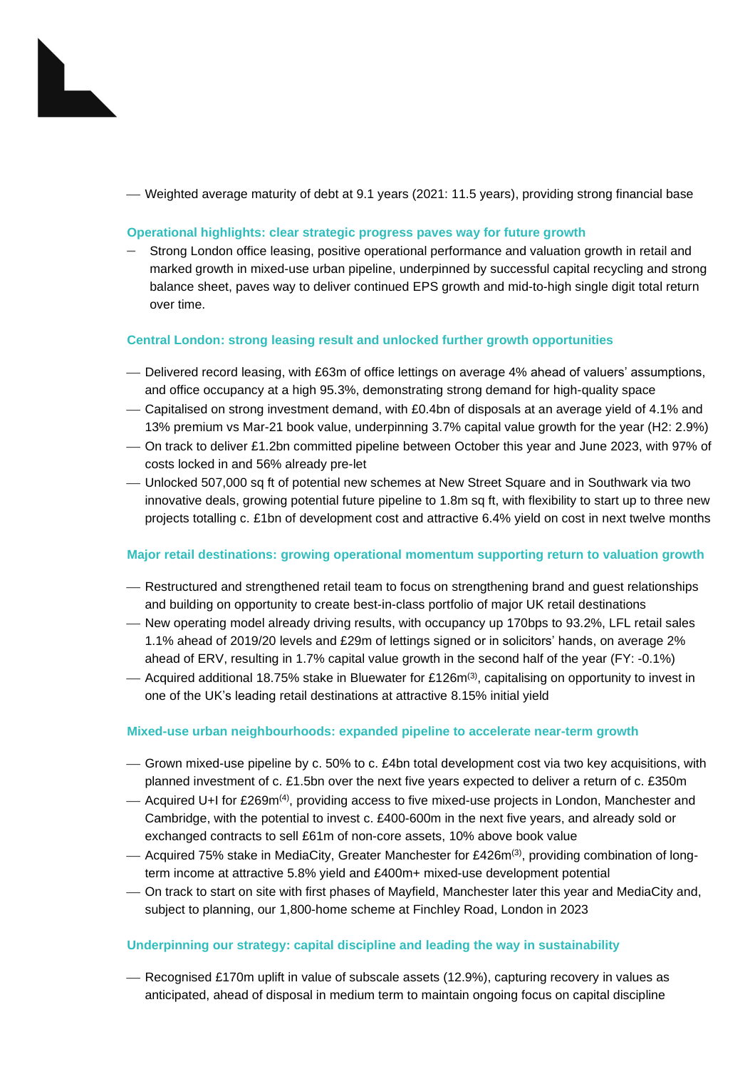⎯ Weighted average maturity of debt at 9.1 years (2021: 11.5 years), providing strong financial base

# **Operational highlights: clear strategic progress paves way for future growth**

– Strong London office leasing, positive operational performance and valuation growth in retail and marked growth in mixed-use urban pipeline, underpinned by successful capital recycling and strong balance sheet, paves way to deliver continued EPS growth and mid-to-high single digit total return over time.

## **Central London: strong leasing result and unlocked further growth opportunities**

- ⎯ Delivered record leasing, with £63m of office lettings on average 4% ahead of valuers' assumptions, and office occupancy at a high 95.3%, demonstrating strong demand for high-quality space
- ⎯ Capitalised on strong investment demand, with £0.4bn of disposals at an average yield of 4.1% and 13% premium vs Mar-21 book value, underpinning 3.7% capital value growth for the year (H2: 2.9%)
- ⎯ On track to deliver £1.2bn committed pipeline between October this year and June 2023, with 97% of costs locked in and 56% already pre-let
- ⎯ Unlocked 507,000 sq ft of potential new schemes at New Street Square and in Southwark via two innovative deals, growing potential future pipeline to 1.8m sq ft, with flexibility to start up to three new projects totalling c. £1bn of development cost and attractive 6.4% yield on cost in next twelve months

## **Major retail destinations: growing operational momentum supporting return to valuation growth**

- ⎯ Restructured and strengthened retail team to focus on strengthening brand and guest relationships and building on opportunity to create best-in-class portfolio of major UK retail destinations
- ⎯ New operating model already driving results, with occupancy up 170bps to 93.2%, LFL retail sales 1.1% ahead of 2019/20 levels and £29m of lettings signed or in solicitors' hands, on average 2% ahead of ERV, resulting in 1.7% capital value growth in the second half of the year (FY: -0.1%)
- Acquired additional 18.75% stake in Bluewater for £126m<sup>(3)</sup>, capitalising on opportunity to invest in one of the UK's leading retail destinations at attractive 8.15% initial yield

## **Mixed-use urban neighbourhoods: expanded pipeline to accelerate near-term growth**

- ⎯ Grown mixed-use pipeline by c. 50% to c. £4bn total development cost via two key acquisitions, with planned investment of c. £1.5bn over the next five years expected to deliver a return of c. £350m
- Acquired U+I for £269m<sup>(4)</sup>, providing access to five mixed-use projects in London, Manchester and Cambridge, with the potential to invest c. £400-600m in the next five years, and already sold or exchanged contracts to sell £61m of non-core assets, 10% above book value
- Acquired 75% stake in MediaCity, Greater Manchester for £426m(3), providing combination of longterm income at attractive 5.8% yield and £400m+ mixed-use development potential
- ⎯ On track to start on site with first phases of Mayfield, Manchester later this year and MediaCity and, subject to planning, our 1,800-home scheme at Finchley Road, London in 2023

## **Underpinning our strategy: capital discipline and leading the way in sustainability**

- Recognised £170m uplift in value of subscale assets (12.9%), capturing recovery in values as anticipated, ahead of disposal in medium term to maintain ongoing focus on capital discipline